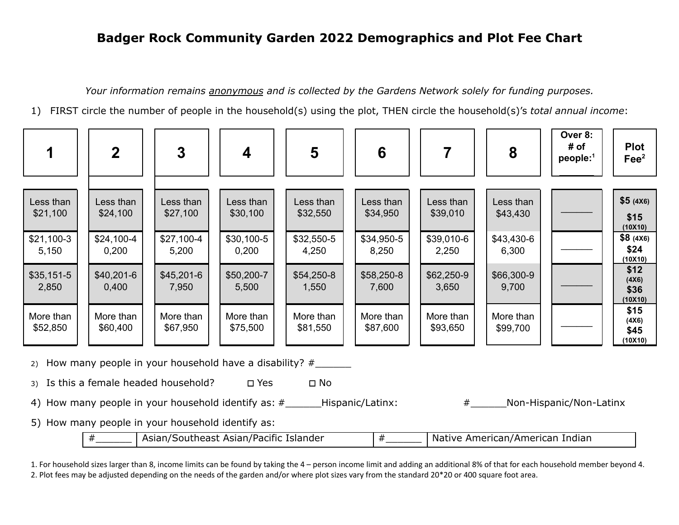## **Badger Rock Community Garden 2022 Demographics and Plot Fee Chart**

*Your information remains anonymous and is collected by the Gardens Network solely for funding purposes.*

1) FIRST circle the number of people in the household(s) using the plot, THEN circle the household(s)'s *total annual income*:

|                                                                                                                                                                                                                                                                                                                                                                                                         | $\mathbf{2}$                                 | $\mathbf{3}$                                  | 4                                            | 5                                             | 6                                            |                                              | 8                                            | Over 8:<br># of<br>$people:$ <sup>1</sup> | <b>Plot</b><br>$\text{Fe}^2$                                         |
|---------------------------------------------------------------------------------------------------------------------------------------------------------------------------------------------------------------------------------------------------------------------------------------------------------------------------------------------------------------------------------------------------------|----------------------------------------------|-----------------------------------------------|----------------------------------------------|-----------------------------------------------|----------------------------------------------|----------------------------------------------|----------------------------------------------|-------------------------------------------|----------------------------------------------------------------------|
| Less than<br>\$21,100<br>$$21,100-3$<br>5,150                                                                                                                                                                                                                                                                                                                                                           | Less than<br>\$24,100<br>\$24,100-4<br>0,200 | Less than<br>\$27,100<br>\$27,100-4<br>5,200  | Less than<br>\$30,100<br>\$30,100-5<br>0,200 | Less than<br>\$32,550<br>\$32,550-5<br>4,250  | Less than<br>\$34,950<br>\$34,950-5<br>8,250 | Less than<br>\$39,010<br>\$39,010-6<br>2,250 | Less than<br>\$43,430<br>\$43,430-6<br>6,300 |                                           | \$5(4X6)<br>\$15<br>(10X10)<br>\$8(4X6)<br>\$24                      |
| $$35,151-5$<br>2,850<br>More than<br>\$52,850                                                                                                                                                                                                                                                                                                                                                           | \$40,201-6<br>0,400<br>More than<br>\$60,400 | $$45,201-6$<br>7,950<br>More than<br>\$67,950 | \$50,200-7<br>5,500<br>More than<br>\$75,500 | $$54,250-8$<br>1,550<br>More than<br>\$81,550 | \$58,250-8<br>7,600<br>More than<br>\$87,600 | \$62,250-9<br>3,650<br>More than<br>\$93,650 | \$66,300-9<br>9,700<br>More than<br>\$99,700 |                                           | (10X10)<br>\$12<br>(4X6)<br>\$36<br>(10X10)<br>\$15<br>(4X6)<br>\$45 |
| (10X10)<br>2) How many people in your household have a disability? $#$<br>Is this a female headed household?<br>$\square$ Yes<br>$\square$ No<br>3)<br>4) How many people in your household identify as: #___________Hispanic/Latinx:<br>#<br>Non-Hispanic/Non-Latinx<br>5) How many people in your household identify as:<br>Asian/Southeast Asian/Pacific Islander<br>Native American/American Indian |                                              |                                               |                                              |                                               |                                              |                                              |                                              |                                           |                                                                      |
|                                                                                                                                                                                                                                                                                                                                                                                                         | $^{\#}$                                      |                                               |                                              |                                               | #                                            |                                              |                                              |                                           |                                                                      |

1. For household sizes larger than 8, income limits can be found by taking the 4 – person income limit and adding an additional 8% of that for each household member beyond 4. 2. Plot fees may be adjusted depending on the needs of the garden and/or where plot sizes vary from the standard 20\*20 or 400 square foot area.